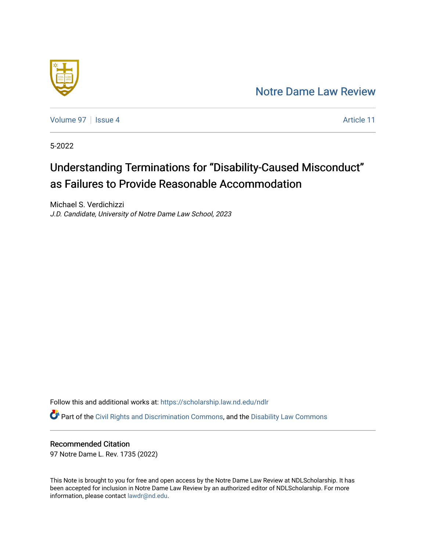# [Notre Dame Law Review](https://scholarship.law.nd.edu/ndlr)



[Volume 97](https://scholarship.law.nd.edu/ndlr/vol97) | [Issue 4](https://scholarship.law.nd.edu/ndlr/vol97/iss4) Article 11

5-2022

# Understanding Terminations for "Disability-Caused Misconduct" as Failures to Provide Reasonable Accommodation

Michael S. Verdichizzi J.D. Candidate, University of Notre Dame Law School, 2023

Follow this and additional works at: [https://scholarship.law.nd.edu/ndlr](https://scholarship.law.nd.edu/ndlr?utm_source=scholarship.law.nd.edu%2Fndlr%2Fvol97%2Fiss4%2F11&utm_medium=PDF&utm_campaign=PDFCoverPages)

Part of the [Civil Rights and Discrimination Commons,](https://network.bepress.com/hgg/discipline/585?utm_source=scholarship.law.nd.edu%2Fndlr%2Fvol97%2Fiss4%2F11&utm_medium=PDF&utm_campaign=PDFCoverPages) and the [Disability Law Commons](https://network.bepress.com/hgg/discipline/1074?utm_source=scholarship.law.nd.edu%2Fndlr%2Fvol97%2Fiss4%2F11&utm_medium=PDF&utm_campaign=PDFCoverPages) 

# Recommended Citation

97 Notre Dame L. Rev. 1735 (2022)

This Note is brought to you for free and open access by the Notre Dame Law Review at NDLScholarship. It has been accepted for inclusion in Notre Dame Law Review by an authorized editor of NDLScholarship. For more information, please contact [lawdr@nd.edu.](mailto:lawdr@nd.edu)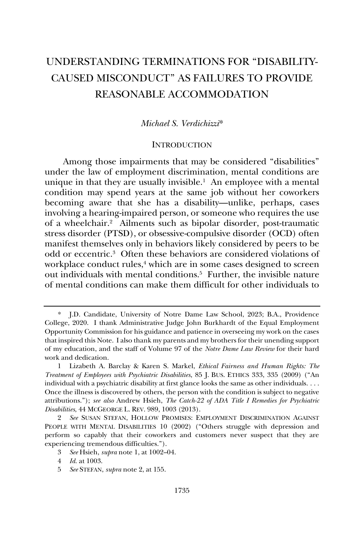# UNDERSTANDING TERMINATIONS FOR "DISABILITY-CAUSED MISCONDUCT" AS FAILURES TO PROVIDE REASONABLE ACCOMMODATION

#### *Michael S. Verdichizzi*\*

#### **INTRODUCTION**

Among those impairments that may be considered "disabilities" under the law of employment discrimination, mental conditions are unique in that they are usually invisible.<sup>1</sup> An employee with a mental condition may spend years at the same job without her coworkers becoming aware that she has a disability—unlike, perhaps, cases involving a hearing-impaired person, or someone who requires the use of a wheelchair.<sup>2</sup> Ailments such as bipolar disorder, post-traumatic stress disorder (PTSD), or obsessive-compulsive disorder (OCD) often manifest themselves only in behaviors likely considered by peers to be odd or eccentric.<sup>3</sup> Often these behaviors are considered violations of workplace conduct rules,<sup>4</sup> which are in some cases designed to screen out individuals with mental conditions.<sup>5</sup> Further, the invisible nature of mental conditions can make them difficult for other individuals to

<sup>\*</sup> J.D. Candidate, University of Notre Dame Law School, 2023; B.A., Providence College, 2020. I thank Administrative Judge John Burkhardt of the Equal Employment Opportunity Commission for his guidance and patience in overseeing my work on the cases that inspired this Note. I also thank my parents and my brothers for their unending support of my education, and the staff of Volume 97 of the *Notre Dame Law Review* for their hard work and dedication.

<sup>1</sup> Lizabeth A. Barclay & Karen S. Markel, *Ethical Fairness and Human Rights: The Treatment of Employees with Psychiatric Disabilities*, 85 J. BUS. ETHICS 333, 335 (2009) ("An individual with a psychiatric disability at first glance looks the same as other individuals. . . . Once the illness is discovered by others, the person with the condition is subject to negative attributions."); *see also* Andrew Hsieh, *The Catch-22 of ADA Title I Remedies for Psychiatric Disabilities*, 44 MCGEORGE L. REV. 989, 1003 (2013).

<sup>2</sup> *See* SUSAN STEFAN, HOLLOW PROMISES: EMPLOYMENT DISCRIMINATION AGAINST PEOPLE WITH MENTAL DISABILITIES 10 (2002) ("Others struggle with depression and perform so capably that their coworkers and customers never suspect that they are experiencing tremendous difficulties.").

<sup>3</sup> *See* Hsieh, *supra* note 1, at 1002–04.

<sup>4</sup> *Id.* at 1003.

<sup>5</sup> *See* STEFAN, *supra* note 2, at 155.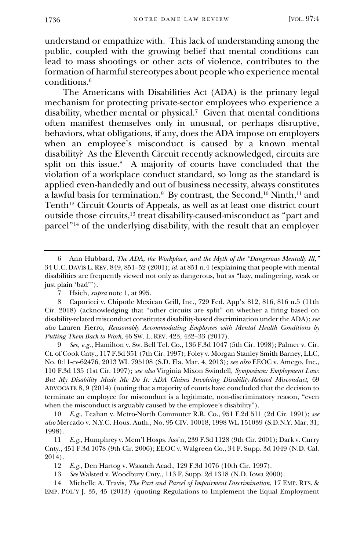understand or empathize with. This lack of understanding among the public, coupled with the growing belief that mental conditions can lead to mass shootings or other acts of violence, contributes to the formation of harmful stereotypes about people who experience mental conditions.<sup>6</sup>

The Americans with Disabilities Act (ADA) is the primary legal mechanism for protecting private-sector employees who experience a disability, whether mental or physical.<sup>7</sup> Given that mental conditions often manifest themselves only in unusual, or perhaps disruptive, behaviors, what obligations, if any, does the ADA impose on employers when an employee's misconduct is caused by a known mental disability? As the Eleventh Circuit recently acknowledged, circuits are split on this issue.<sup>8</sup> A majority of courts have concluded that the violation of a workplace conduct standard, so long as the standard is applied even-handedly and out of business necessity, always constitutes a lawful basis for termination.<sup>9</sup> By contrast, the Second,<sup>10</sup> Ninth,<sup>11</sup> and Tenth<sup>12</sup> Circuit Courts of Appeals, as well as at least one district court outside those circuits, <sup>13</sup> treat disability-caused-misconduct as "part and parcel"<sup>14</sup> of the underlying disability, with the result that an employer

<sup>6</sup> Ann Hubbard, *The ADA, the Workplace, and the Myth of the "Dangerous Mentally Ill*,*"* 34 U.C. DAVIS L.REV. 849, 851–52 (2001); *id.* at 851 n.4 (explaining that people with mental disabilities are frequently viewed not only as dangerous, but as "lazy, malingering, weak or just plain 'bad'").

<sup>7</sup> Hsieh, *supra* note 1, at 995.

<sup>8</sup> Caporicci v. Chipotle Mexican Grill, Inc., 729 Fed. App'x 812, 816, 816 n.5 (11th Cir. 2018) (acknowledging that "other circuits are split" on whether a firing based on disability-related misconduct constitutes disability-based discrimination under the ADA); *see also* Lauren Fierro, *Reasonably Accommodating Employees with Mental Health Conditions by Putting Them Back to Work*, 46 SW. L. REV. 423, 432–33 (2017).

<sup>9</sup> *See, e.g.*, Hamilton v. Sw. Bell Tel. Co., 136 F.3d 1047 (5th Cir. 1998); Palmer v. Cir. Ct. of Cook Cnty., 117 F.3d 351 (7th Cir. 1997); Foley v. Morgan Stanley Smith Barney, LLC, No. 0:11-cv-62476, 2013 WL 795108 (S.D. Fla. Mar. 4, 2013); *see also* EEOC v. Amego, Inc., 110 F.3d 135 (1st Cir. 1997); *see also* Virginia Mixon Swindell, *Symposium: Employment Law: But My Disability Made Me Do It: ADA Claims Involving Disability-Related Misconduct*, 69 ADVOCATE 8, 9 (2014) (noting that a majority of courts have concluded that the decision to terminate an employee for misconduct is a legitimate, non-discriminatory reason, "even when the misconduct is arguably caused by the employee's disability").

<sup>10</sup> *E.g.*, Teahan v. Metro-North Commuter R.R. Co., 951 F.2d 511 (2d Cir. 1991); *see also* Mercado v. N.Y.C. Hous. Auth., No. 95 CIV. 10018, 1998 WL 151039 (S.D.N.Y. Mar. 31, 1998).

<sup>11</sup> *E.g.*, Humphrey v. Mem'l Hosps. Ass'n, 239 F.3d 1128 (9th Cir. 2001); Dark v. Curry Cnty., 451 F.3d 1078 (9th Cir. 2006); EEOC v. Walgreen Co., 34 F. Supp. 3d 1049 (N.D. Cal. 2014).

<sup>12</sup> *E.g.*, Den Hartog v. Wasatch Acad., 129 F.3d 1076 (10th Cir. 1997).

<sup>13</sup> *See* Walsted v. Woodbury Cnty., 113 F. Supp. 2d 1318 (N.D. Iowa 2000).

<sup>14</sup> Michelle A. Travis, *The Part and Parcel of Impairment Discrimination*, 17 EMP. RTS. & EMP. POL'Y J. 35, 45 (2013) (quoting Regulations to Implement the Equal Employment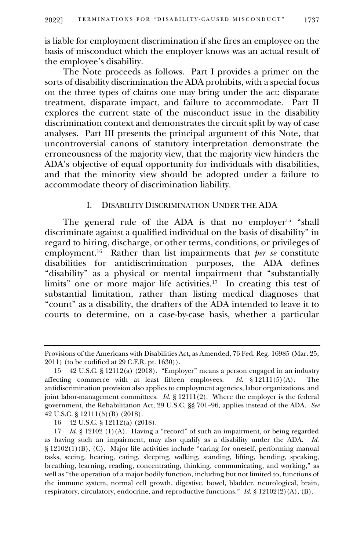is liable for employment discrimination if she fires an employee on the basis of misconduct which the employer knows was an actual result of the employee's disability.

The Note proceeds as follows. Part I provides a primer on the sorts of disability discrimination the ADA prohibits, with a special focus on the three types of claims one may bring under the act: disparate treatment, disparate impact, and failure to accommodate. Part II explores the current state of the misconduct issue in the disability discrimination context and demonstrates the circuit split by way of case analyses. Part III presents the principal argument of this Note, that uncontroversial canons of statutory interpretation demonstrate the erroneousness of the majority view, that the majority view hinders the ADA's objective of equal opportunity for individuals with disabilities, and that the minority view should be adopted under a failure to accommodate theory of discrimination liability.

#### I. DISABILITY DISCRIMINATION UNDER THE ADA

The general rule of the ADA is that no employer<sup>15</sup> "shall discriminate against a qualified individual on the basis of disability" in regard to hiring, discharge, or other terms, conditions, or privileges of employment.<sup>16</sup> Rather than list impairments that *per se* constitute disabilities for antidiscrimination purposes, the ADA defines "disability" as a physical or mental impairment that "substantially limits" one or more major life activities.<sup>17</sup> In creating this test of substantial limitation, rather than listing medical diagnoses that "count" as a disability, the drafters of the ADA intended to leave it to courts to determine, on a case-by-case basis, whether a particular

Provisions of the Americans with Disabilities Act, as Amended, 76 Fed. Reg. 16985 (Mar. 25, 2011) (to be codified at 29 C.F.R. pt. 1630)).

<sup>15</sup> 42 U.S.C. § 12112(a) (2018). "Employer" means a person engaged in an industry affecting commerce with at least fifteen employees. *Id.* § 12111(5)(A). The antidiscrimination provision also applies to employment agencies, labor organizations, and joint labor-management committees. *Id.* § 12111(2). Where the employer is the federal government, the Rehabilitation Act, 29 U.S.C. §§ 701–96, applies instead of the ADA. *See*  42 U.S.C. § 12111(5)(B) (2018).

<sup>16</sup> 42 U.S.C. § 12112(a) (2018).

<sup>17</sup> *Id.* § 12102 (1)(A). Having a "record" of such an impairment, or being regarded as having such an impairment, may also qualify as a disability under the ADA. *Id.*  § 12102(1)(B), (C).Major life activities include "caring for oneself, performing manual tasks, seeing, hearing, eating, sleeping, walking, standing, lifting, bending, speaking, breathing, learning, reading, concentrating, thinking, communicating, and working," as well as "the operation of a major bodily function, including but not limited to, functions of the immune system, normal cell growth, digestive, bowel, bladder, neurological, brain, respiratory, circulatory, endocrine, and reproductive functions." *Id.* § 12102(2)(A), (B).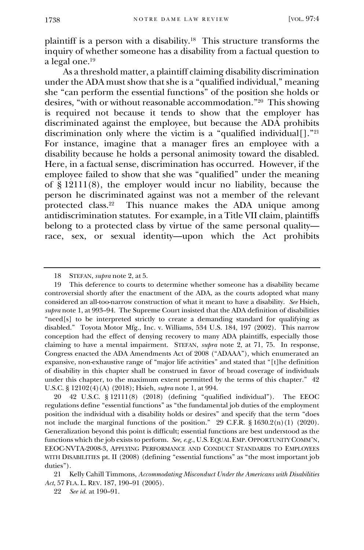plaintiff is a person with a disability.<sup>18</sup> This structure transforms the inquiry of whether someone has a disability from a factual question to a legal one.<sup>19</sup>

As a threshold matter, a plaintiff claiming disability discrimination under the ADA must show that she is a "qualified individual," meaning she "can perform the essential functions" of the position she holds or desires, "with or without reasonable accommodation."<sup>20</sup> This showing is required not because it tends to show that the employer has discriminated against the employee, but because the ADA prohibits discrimination only where the victim is a "qualified individual[]."<sup>21</sup> For instance, imagine that a manager fires an employee with a disability because he holds a personal animosity toward the disabled. Here, in a factual sense, discrimination has occurred. However, if the employee failed to show that she was "qualified" under the meaning of § 12111(8), the employer would incur no liability, because the person he discriminated against was not a member of the relevant protected class.<sup>22</sup> This nuance makes the ADA unique among antidiscrimination statutes. For example, in a Title VII claim, plaintiffs belong to a protected class by virtue of the same personal quality race, sex, or sexual identity—upon which the Act prohibits

<sup>18</sup> STEFAN, *supra* note 2, at 5.

<sup>19</sup> This deference to courts to determine whether someone has a disability became controversial shortly after the enactment of the ADA, as the courts adopted what many considered an all-too-narrow construction of what it meant to have a disability. *See* Hsieh, *supra* note 1, at 993–94. The Supreme Court insisted that the ADA definition of disabilities "need[s] to be interpreted strictly to create a demanding standard for qualifying as disabled." Toyota Motor Mfg., Inc. v. Williams, 534 U.S. 184, 197 (2002). This narrow conception had the effect of denying recovery to many ADA plaintiffs, especially those claiming to have a mental impairment. STEFAN, *supra* note 2, at 71, 75. In response, Congress enacted the ADA Amendments Act of 2008 ("ADAAA"), which enumerated an expansive, non-exhaustive range of "major life activities" and stated that "[t]he definition of disability in this chapter shall be construed in favor of broad coverage of individuals under this chapter, to the maximum extent permitted by the terms of this chapter." 42 U.S.C. § 12102(4)(A) (2018); Hsieh, *supra* note 1, at 994.

<sup>20</sup> 42 U.S.C. § 12111(8) (2018) (defining "qualified individual"). The EEOC regulations define "essential functions" as "the fundamental job duties of the employment position the individual with a disability holds or desires" and specify that the term "does not include the marginal functions of the position." 29 C.F.R. § 1630.2(n)(1) (2020). Generalization beyond this point is difficult; essential functions are best understood as the functions which the job exists to perform. *See, e.g.*, U.S. EQUAL EMP. OPPORTUNITY COMM'N, EEOC-NVTA-2008-3, APPLYING PERFORMANCE AND CONDUCT STANDARDS TO EMPLOYEES WITH DISABILITIES pt. II (2008) (defining "essential functions" as "the most important job duties").

<sup>21</sup> Kelly Cahill Timmons, *Accommodating Misconduct Under the Americans with Disabilities Act*, 57 FLA. L. REV. 187, 190–91 (2005).

<sup>22</sup> *See id.* at 190–91.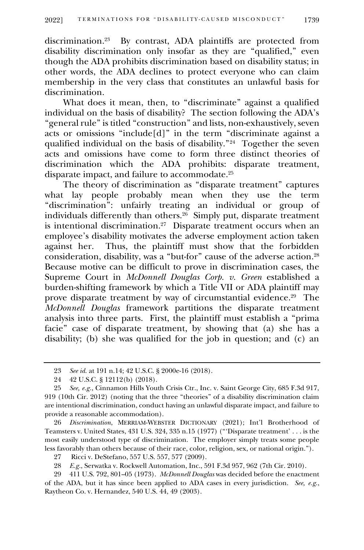discrimination.<sup>23</sup> By contrast, ADA plaintiffs are protected from disability discrimination only insofar as they are "qualified," even though the ADA prohibits discrimination based on disability status; in other words, the ADA declines to protect everyone who can claim membership in the very class that constitutes an unlawful basis for discrimination.

What does it mean, then, to "discriminate" against a qualified individual on the basis of disability? The section following the ADA's "general rule" is titled "construction" and lists, non-exhaustively, seven acts or omissions "include[d]" in the term "discriminate against a qualified individual on the basis of disability."<sup>24</sup> Together the seven acts and omissions have come to form three distinct theories of discrimination which the ADA prohibits: disparate treatment, disparate impact, and failure to accommodate.<sup>25</sup>

The theory of discrimination as "disparate treatment" captures what lay people probably mean when they use the term "discrimination": unfairly treating an individual or group of individuals differently than others.<sup>26</sup> Simply put, disparate treatment is intentional discrimination.<sup>27</sup> Disparate treatment occurs when an employee's disability motivates the adverse employment action taken against her. Thus, the plaintiff must show that the forbidden consideration, disability, was a "but-for" cause of the adverse action.<sup>28</sup> Because motive can be difficult to prove in discrimination cases, the Supreme Court in *McDonnell Douglas Corp. v. Green* established a burden-shifting framework by which a Title VII or ADA plaintiff may prove disparate treatment by way of circumstantial evidence.<sup>29</sup> The *McDonnell Douglas* framework partitions the disparate treatment analysis into three parts. First, the plaintiff must establish a "prima facie" case of disparate treatment, by showing that (a) she has a disability; (b) she was qualified for the job in question; and (c) an

26 *Discrimination*, MERRIAM-WEBSTER DICTIONARY (2021); Int'l Brotherhood of Teamsters v. United States, 431 U.S. 324, 335 n.15 (1977) ("'Disparate treatment' . . . is the most easily understood type of discrimination. The employer simply treats some people less favorably than others because of their race, color, religion, sex, or national origin.").

<sup>23</sup> *See id.* at 191 n.14; 42 U.S.C. § 2000e-16 (2018).

<sup>24</sup> 42 U.S.C. § 12112(b) (2018).

<sup>25</sup> *See, e.g.*, Cinnamon Hills Youth Crisis Ctr., Inc. v. Saint George City, 685 F.3d 917, 919 (10th Cir. 2012) (noting that the three "theories" of a disability discrimination claim are intentional discrimination, conduct having an unlawful disparate impact, and failure to provide a reasonable accommodation).

<sup>27</sup> Ricci v. DeStefano, 557 U.S. 557, 577 (2009).

<sup>28</sup> *E.g.*, Serwatka v. Rockwell Automation, Inc., 591 F.3d 957, 962 (7th Cir. 2010).

<sup>29</sup> 411 U.S. 792, 801–05 (1973). *McDonnell Douglas* was decided before the enactment of the ADA, but it has since been applied to ADA cases in every jurisdiction. *See, e.g.*, Raytheon Co. v. Hernandez, 540 U.S. 44, 49 (2003).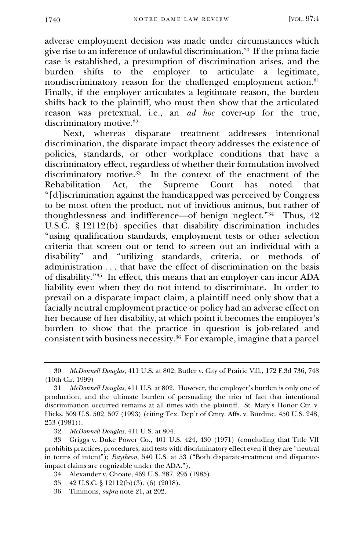adverse employment decision was made under circumstances which give rise to an inference of unlawful discrimination.<sup>30</sup> If the prima facie case is established, a presumption of discrimination arises, and the burden shifts to the employer to articulate a legitimate, nondiscriminatory reason for the challenged employment action.<sup>31</sup> Finally, if the employer articulates a legitimate reason, the burden shifts back to the plaintiff, who must then show that the articulated reason was pretextual, i.e., an *ad hoc* cover-up for the true, discriminatory motive.<sup>32</sup>

Next, whereas disparate treatment addresses intentional discrimination, the disparate impact theory addresses the existence of policies, standards, or other workplace conditions that have a discriminatory effect, regardless of whether their formulation involved discriminatory motive.<sup>33</sup> In the context of the enactment of the Rehabilitation Act, the Supreme Court has noted that "[d]iscrimination against the handicapped was perceived by Congress to be most often the product, not of invidious animus, but rather of thoughtlessness and indifference—of benign neglect."<sup>34</sup> Thus, 42 U.S.C. § 12112(b) specifies that disability discrimination includes "using qualification standards, employment tests or other selection criteria that screen out or tend to screen out an individual with a disability" and "utilizing standards, criteria, or methods of administration . . . that have the effect of discrimination on the basis of disability."<sup>35</sup> In effect, this means that an employer can incur ADA liability even when they do not intend to discriminate. In order to prevail on a disparate impact claim, a plaintiff need only show that a facially neutral employment practice or policy had an adverse effect on her because of her disability, at which point it becomes the employer's burden to show that the practice in question is job-related and consistent with business necessity.<sup>36</sup> For example, imagine that a parcel

- 34 Alexander v. Choate, 469 U.S. 287, 295 (1985).
- 35 42 U.S.C. § 12112(b)(3), (6) (2018).
- 36 Timmons, *supra* note 21, at 202.

<sup>30</sup> *McDonnell Douglas*, 411 U.S. at 802; Butler v. City of Prairie Vill., 172 F.3d 736, 748 (10th Cir. 1999)

<sup>31</sup> *McDonnell Douglas*, 411 U.S. at 802. However, the employer's burden is only one of production, and the ultimate burden of persuading the trier of fact that intentional discrimination occurred remains at all times with the plaintiff. St. Mary's Honor Ctr. v. Hicks, 509 U.S. 502, 507 (1993) (citing Tex. Dep't of Cmty. Affs. v. Burdine, 450 U.S. 248, 253 (1981)).

<sup>32</sup> *McDonnell Douglas*, 411 U.S. at 804.

<sup>33</sup> Griggs v. Duke Power Co., 401 U.S. 424, 430 (1971) (concluding that Title VII prohibits practices, procedures, and tests with discriminatory effect even if they are "neutral in terms of intent"); *Raytheon*, 540 U.S. at 53 ("Both disparate-treatment and disparateimpact claims are cognizable under the ADA.").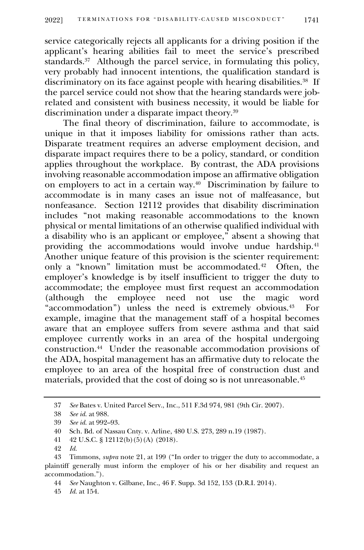service categorically rejects all applicants for a driving position if the applicant's hearing abilities fail to meet the service's prescribed standards.<sup>37</sup> Although the parcel service, in formulating this policy, very probably had innocent intentions, the qualification standard is discriminatory on its face against people with hearing disabilities.<sup>38</sup> If the parcel service could not show that the hearing standards were jobrelated and consistent with business necessity, it would be liable for discrimination under a disparate impact theory.<sup>39</sup>

The final theory of discrimination, failure to accommodate, is unique in that it imposes liability for omissions rather than acts. Disparate treatment requires an adverse employment decision, and disparate impact requires there to be a policy, standard, or condition applies throughout the workplace. By contrast, the ADA provisions involving reasonable accommodation impose an affirmative obligation on employers to act in a certain way.<sup>40</sup> Discrimination by failure to accommodate is in many cases an issue not of malfeasance, but nonfeasance. Section 12112 provides that disability discrimination includes "not making reasonable accommodations to the known physical or mental limitations of an otherwise qualified individual with a disability who is an applicant or employee," absent a showing that providing the accommodations would involve undue hardship.<sup>41</sup> Another unique feature of this provision is the scienter requirement: only a "known" limitation must be accommodated.<sup>42</sup> Often, the employer's knowledge is by itself insufficient to trigger the duty to accommodate; the employee must first request an accommodation (although the employee need not use the magic word the employee need not use the magic word "accommodation") unless the need is extremely obvious.<sup>43</sup> For example, imagine that the management staff of a hospital becomes aware that an employee suffers from severe asthma and that said employee currently works in an area of the hospital undergoing construction.<sup>44</sup> Under the reasonable accommodation provisions of the ADA, hospital management has an affirmative duty to relocate the employee to an area of the hospital free of construction dust and materials, provided that the cost of doing so is not unreasonable.<sup>45</sup>

37 *See* Bates v. United Parcel Serv., Inc., 511 F.3d 974, 981 (9th Cir. 2007).

<sup>38</sup> *See id.* at 988.

<sup>39</sup> *See id.* at 992–93.

<sup>40</sup> Sch. Bd. of Nassau Cnty. v. Arline, 480 U.S. 273, 289 n.19 (1987).

<sup>41</sup> 42 U.S.C. § 12112(b)(5)(A) (2018).

<sup>42</sup> *Id.*

<sup>43</sup> Timmons, *supra* note 21, at 199 ("In order to trigger the duty to accommodate, a plaintiff generally must inform the employer of his or her disability and request an accommodation.").

<sup>44</sup> *See* Naughton v. Gilbane, Inc., 46 F. Supp. 3d 152, 153 (D.R.I. 2014).

<sup>45</sup> *Id.* at 154.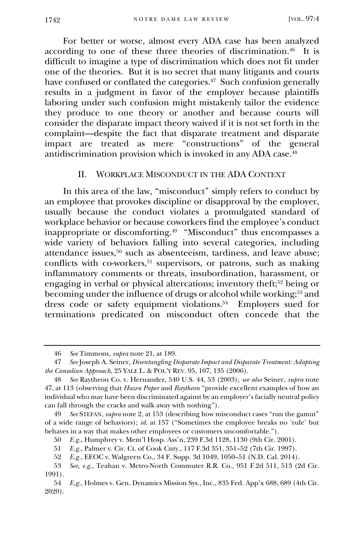For better or worse, almost every ADA case has been analyzed according to one of these three theories of discrimination.<sup>46</sup> It is difficult to imagine a type of discrimination which does not fit under one of the theories. But it is no secret that many litigants and courts have confused or conflated the categories.<sup>47</sup> Such confusion generally results in a judgment in favor of the employer because plaintiffs laboring under such confusion might mistakenly tailor the evidence they produce to one theory or another and because courts will consider the disparate impact theory waived if it is not set forth in the complaint—despite the fact that disparate treatment and disparate impact are treated as mere "constructions" of the general antidiscrimination provision which is invoked in any ADA case.<sup>48</sup>

### II. WORKPLACE MISCONDUCT IN THE ADA CONTEXT

In this area of the law, "misconduct" simply refers to conduct by an employee that provokes discipline or disapproval by the employer, usually because the conduct violates a promulgated standard of workplace behavior or because coworkers find the employee's conduct inappropriate or discomforting.<sup>49</sup> "Misconduct" thus encompasses a wide variety of behaviors falling into several categories, including attendance issues,<sup>50</sup> such as absenteeism, tardiness, and leave abuse; conflicts with co-workers,<sup>51</sup> supervisors, or patrons, such as making inflammatory comments or threats, insubordination, harassment, or engaging in verbal or physical altercations; inventory theft;<sup>52</sup> being or becoming under the influence of drugs or alcohol while working;<sup>53</sup> and dress code or safety equipment violations.<sup>54</sup> Employers sued for terminations predicated on misconduct often concede that the

<sup>46</sup> *See* Timmons, *supra* note 21, at 189.

<sup>47</sup> *See* Joseph A. Seiner, *Disentangling Disparate Impact and Disparate Treatment: Adapting the Canadian Approach*, 25 YALE L. & POL'Y REV. 95, 107, 135 (2006).

<sup>48</sup> *See* Raytheon Co. v. Hernandez, 540 U.S. 44, 53 (2003); *see also* Seiner, *supra* note 47, at 113 (observing that *Hazen Paper* and *Raytheon* "provide excellent examples of how an individual who may have been discriminated against by an employer's facially neutral policy can fall through the cracks and walk away with nothing").

<sup>49</sup> *See* STEFAN, *supra* note 2, at 153 (describing how misconduct cases "run the gamut" of a wide range of behaviors); *id.* at 157 ("Sometimes the employee breaks no 'rule' but behaves in a way that makes other employees or customers uncomfortable.").

<sup>50</sup> *E.g.*, Humphrey v. Mem'l Hosp. Ass'n, 239 F.3d 1128, 1130 (9th Cir. 2001).

<sup>51</sup> *E.g.*, Palmer v. Cir. Ct. of Cook Cnty., 117 F.3d 351, 351–52 (7th Cir. 1997).

<sup>52</sup> *E.g.*, EEOC v. Walgreen Co., 34 F. Supp. 3d 1049, 1050–51 (N.D. Cal. 2014).

<sup>53</sup> *See, e.g.*, Teahan v. Metro-North Commuter R.R. Co., 951 F.2d 511, 513 (2d Cir. 1991).

<sup>54</sup> *E.g.*, Holmes v. Gen. Dynamics Mission Sys., Inc., 835 Fed. App'x 688, 689 (4th Cir. 2020).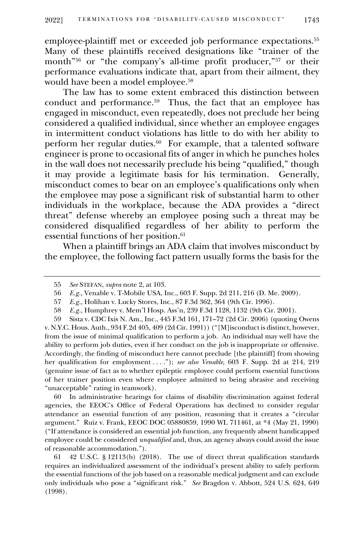employee-plaintiff met or exceeded job performance expectations.<sup>55</sup> Many of these plaintiffs received designations like "trainer of the month<sup>"56</sup> or "the company's all-time profit producer,"<sup>57</sup> or their performance evaluations indicate that, apart from their ailment, they would have been a model employee.<sup>58</sup>

The law has to some extent embraced this distinction between conduct and performance.<sup>59</sup> Thus, the fact that an employee has engaged in misconduct, even repeatedly, does not preclude her being considered a qualified individual, since whether an employee engages in intermittent conduct violations has little to do with her ability to perform her regular duties.<sup>60</sup> For example, that a talented software engineer is prone to occasional fits of anger in which he punches holes in the wall does not necessarily preclude his being "qualified," though it may provide a legitimate basis for his termination. Generally, misconduct comes to bear on an employee's qualifications only when the employee may pose a significant risk of substantial harm to other individuals in the workplace, because the ADA provides a "direct threat" defense whereby an employee posing such a threat may be considered disqualified regardless of her ability to perform the essential functions of her position.<sup>61</sup>

When a plaintiff brings an ADA claim that involves misconduct by the employee, the following fact pattern usually forms the basis for the

60 In administrative hearings for claims of disability discrimination against federal agencies, the EEOC's Office of Federal Operations has declined to consider regular attendance an essential function of any position, reasoning that it creates a "circular argument." Ruiz v. Frank, EEOC DOC 05880859, 1990 WL 711461, at \*4 (May 21, 1990) ("If attendance is considered an essential job function, any frequently absent handicapped employee could be considered *unqualified* and, thus, an agency always could avoid the issue of reasonable accommodation.").

61 42 U.S.C. § 12113(b) (2018). The use of direct threat qualification standards requires an individualized assessment of the individual's present ability to safely perform the essential functions of the job based on a reasonable medical judgment and can exclude only individuals who pose a "significant risk." *See* Bragdon v. Abbott, 524 U.S. 624, 649 (1998).

<sup>55</sup> *See* STEFAN, *supra* note 2, at 103.

<sup>56</sup> *E.g.*, Venable v. T-Mobile USA, Inc., 603 F. Supp. 2d 211, 216 (D. Me. 2009).

<sup>57</sup> *E.g.*, Holihan v. Lucky Stores, Inc., 87 F.3d 362, 364 (9th Cir. 1996).

<sup>58</sup> *E.g.*, Humphrey v. Mem'l Hosp. Ass'n, 239 F.3d 1128, 1132 (9th Cir. 2001).

<sup>59</sup> Sista v. CDC Ixis N. Am., Inc., 445 F.3d 161, 171–72 (2d Cir. 2006) (quoting Owens v. N.Y.C. Hous. Auth., 934 F.2d 405, 409 (2d Cir. 1991)) ("[M]isconduct is distinct, however, from the issue of minimal qualification to perform a job. An individual may well have the ability to perform job duties, even if her conduct on the job is inappropriate or offensive. Accordingly, the finding of misconduct here cannot preclude [the plaintiff] from showing her qualification for employment . . . ."); *see also Venable*, 603 F. Supp. 2d at 214, 219 (genuine issue of fact as to whether epileptic employee could perform essential functions of her trainer position even where employee admitted to being abrasive and receiving "unacceptable" rating in teamwork).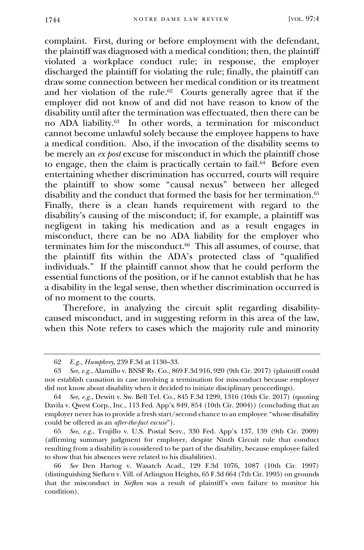complaint. First, during or before employment with the defendant, the plaintiff was diagnosed with a medical condition; then, the plaintiff violated a workplace conduct rule; in response, the employer discharged the plaintiff for violating the rule; finally, the plaintiff can draw some connection between her medical condition or its treatment and her violation of the rule.<sup>62</sup> Courts generally agree that if the employer did not know of and did not have reason to know of the disability until after the termination was effectuated, then there can be no ADA liability.<sup>63</sup> In other words, a termination for misconduct cannot become unlawful solely because the employee happens to have a medical condition. Also, if the invocation of the disability seems to be merely an *ex post* excuse for misconduct in which the plaintiff chose to engage, then the claim is practically certain to fail.<sup>64</sup> Before even entertaining whether discrimination has occurred, courts will require the plaintiff to show some "causal nexus" between her alleged disability and the conduct that formed the basis for her termination.<sup>65</sup> Finally, there is a clean hands requirement with regard to the disability's causing of the misconduct; if, for example, a plaintiff was negligent in taking his medication and as a result engages in misconduct, there can be no ADA liability for the employer who terminates him for the misconduct.<sup>66</sup> This all assumes, of course, that the plaintiff fits within the ADA's protected class of "qualified individuals." If the plaintiff cannot show that he could perform the essential functions of the position, or if he cannot establish that he has a disability in the legal sense, then whether discrimination occurred is of no moment to the courts.

Therefore, in analyzing the circuit split regarding disabilitycaused misconduct, and in suggesting reform in this area of the law, when this Note refers to cases which the majority rule and minority

65 *See, e.g.*, Trujillo v. U.S. Postal Serv., 330 Fed. App'x 137, 139 (9th Cir. 2009) (affirming summary judgment for employer, despite Ninth Circuit rule that conduct resulting from a disability is considered to be part of the disability, because employee failed to show that his absences were related to his disabilities).

<sup>62</sup> *E.g.*, *Humphrey*, 239 F.3d at 1130–33.

<sup>63</sup> *See, e.g.*, Alamillo v. BNSF Ry. Co., 869 F.3d 916, 920 (9th Cir. 2017) (plaintiff could not establish causation in case involving a termination for misconduct because employer did not know about disability when it decided to initiate disciplinary proceedings).

<sup>64</sup> *See, e.g.*, Dewitt v. Sw. Bell Tel. Co., 845 F.3d 1299, 1316 (10th Cir. 2017) (quoting Davila v. Qwest Corp., Inc., 113 Fed. App'x 849, 854 (10th Cir. 2004)) (concluding that an employer never has to provide a fresh start/second chance to an employee "whose disability could be offered as an *after-the-fact excuse*").

<sup>66</sup> *See* Den Hartog v. Wasatch Acad., 129 F.3d 1076, 1087 (10th Cir. 1997) (distinguishing Siefken v. Vill. of Arlington Heights, 65 F.3d 664 (7th Cir. 1995) on grounds that the misconduct in *Siefken* was a result of plaintiff's own failure to monitor his condition).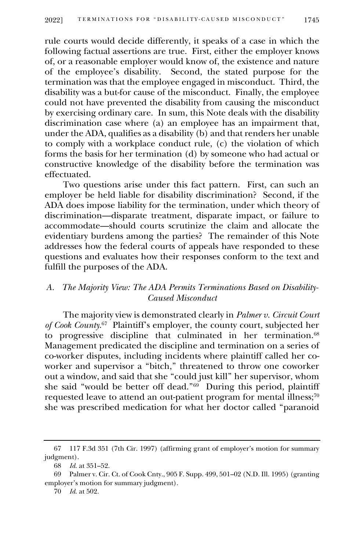rule courts would decide differently, it speaks of a case in which the following factual assertions are true. First, either the employer knows of, or a reasonable employer would know of, the existence and nature of the employee's disability. Second, the stated purpose for the termination was that the employee engaged in misconduct. Third, the disability was a but-for cause of the misconduct. Finally, the employee could not have prevented the disability from causing the misconduct by exercising ordinary care. In sum, this Note deals with the disability discrimination case where (a) an employee has an impairment that, under the ADA, qualifies as a disability (b) and that renders her unable to comply with a workplace conduct rule, (c) the violation of which forms the basis for her termination (d) by someone who had actual or constructive knowledge of the disability before the termination was effectuated.

Two questions arise under this fact pattern. First, can such an employer be held liable for disability discrimination? Second, if the ADA does impose liability for the termination, under which theory of discrimination—disparate treatment, disparate impact, or failure to accommodate—should courts scrutinize the claim and allocate the evidentiary burdens among the parties? The remainder of this Note addresses how the federal courts of appeals have responded to these questions and evaluates how their responses conform to the text and fulfill the purposes of the ADA.

# *A. The Majority View: The ADA Permits Terminations Based on Disability-Caused Misconduct*

The majority view is demonstrated clearly in *Palmer v. Circuit Court*  of Cook County.<sup>67</sup> Plaintiff's employer, the county court, subjected her to progressive discipline that culminated in her termination.<sup>68</sup> Management predicated the discipline and termination on a series of co-worker disputes, including incidents where plaintiff called her coworker and supervisor a "bitch," threatened to throw one coworker out a window, and said that she "could just kill" her supervisor, whom she said "would be better off dead."<sup>69</sup> During this period, plaintiff requested leave to attend an out-patient program for mental illness;<sup>70</sup> she was prescribed medication for what her doctor called "paranoid

<sup>67</sup> 117 F.3d 351 (7th Cir. 1997) (affirming grant of employer's motion for summary judgment).

<sup>68</sup> *Id.* at 351–52.

<sup>69</sup> Palmer v. Cir. Ct. of Cook Cnty., 905 F. Supp. 499, 501–02 (N.D. Ill. 1995) (granting employer's motion for summary judgment).

<sup>70</sup> *Id.* at 502.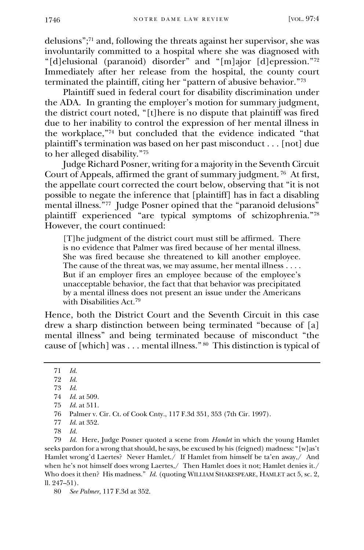delusions";<sup>71</sup> and, following the threats against her supervisor, she was involuntarily committed to a hospital where she was diagnosed with "[d]elusional (paranoid) disorder" and "[m]ajor [d]epression."<sup>72</sup> Immediately after her release from the hospital, the county court terminated the plaintiff, citing her "pattern of abusive behavior."<sup>73</sup>

Plaintiff sued in federal court for disability discrimination under the ADA. In granting the employer's motion for summary judgment, the district court noted, "[t]here is no dispute that plaintiff was fired due to her inability to control the expression of her mental illness in the workplace,"<sup>74</sup> but concluded that the evidence indicated "that plaintiff's termination was based on her past misconduct . . . [not] due to her alleged disability."<sup>75</sup>

Judge Richard Posner, writing for a majority in the Seventh Circuit Court of Appeals, affirmed the grant of summary judgment. <sup>76</sup> At first, the appellate court corrected the court below, observing that "it is not possible to negate the inference that [plaintiff] has in fact a disabling mental illness."<sup>77</sup> Judge Posner opined that the "paranoid delusions" plaintiff experienced "are typical symptoms of schizophrenia."<sup>78</sup> However, the court continued:

[T]he judgment of the district court must still be affirmed. There is no evidence that Palmer was fired because of her mental illness. She was fired because she threatened to kill another employee. The cause of the threat was, we may assume, her mental illness . . . . But if an employer fires an employee because of the employee's unacceptable behavior, the fact that that behavior was precipitated by a mental illness does not present an issue under the Americans with Disabilities Act. 79

Hence, both the District Court and the Seventh Circuit in this case drew a sharp distinction between being terminated "because of [a] mental illness" and being terminated because of misconduct "the cause of [which] was . . . mental illness." <sup>80</sup> This distinction is typical of

<sup>71</sup> *Id.*

<sup>72</sup> *Id.*

<sup>73</sup> *Id.*

<sup>74</sup> *Id.* at 509.

<sup>75</sup> *Id.* at 511.

<sup>76</sup> Palmer v. Cir. Ct. of Cook Cnty., 117 F.3d 351, 353 (7th Cir. 1997).

<sup>77</sup> *Id.* at 352.

<sup>78</sup> *Id.*

<sup>79</sup> *Id.* Here, Judge Posner quoted a scene from *Hamlet* in which the young Hamlet seeks pardon for a wrong that should, he says, be excused by his (feigned) madness: "[w]as't Hamlet wrong'd Laertes? Never Hamlet./ If Hamlet from himself be ta'en away,/ And when he's not himself does wrong Laertes,/ Then Hamlet does it not; Hamlet denies it./ Who does it then? His madness." *Id.* (quoting WILLIAM SHAKESPEARE, HAMLET act 5, sc. 2, ll. 247–51).

<sup>80</sup> *See Palmer*, 117 F.3d at 352.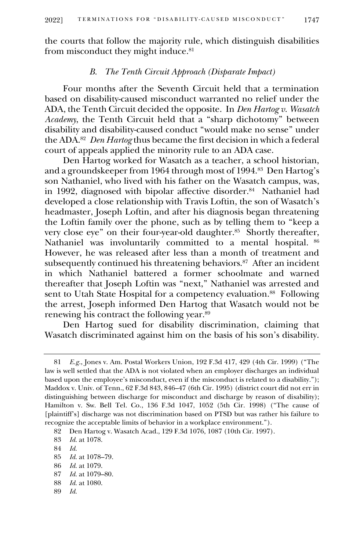the courts that follow the majority rule, which distinguish disabilities from misconduct they might induce. 81

## *B. The Tenth Circuit Approach (Disparate Impact)*

Four months after the Seventh Circuit held that a termination based on disability-caused misconduct warranted no relief under the ADA, the Tenth Circuit decided the opposite. In *Den Hartog v. Wasatch Academy*, the Tenth Circuit held that a "sharp dichotomy" between disability and disability-caused conduct "would make no sense" under the ADA.<sup>82</sup> *Den Hartog* thus became the first decision in which a federal court of appeals applied the minority rule to an ADA case.

Den Hartog worked for Wasatch as a teacher, a school historian, and a groundskeeper from 1964 through most of 1994.<sup>83</sup> Den Hartog's son Nathaniel, who lived with his father on the Wasatch campus, was, in 1992, diagnosed with bipolar affective disorder.<sup>84</sup> Nathaniel had developed a close relationship with Travis Loftin, the son of Wasatch's headmaster, Joseph Loftin, and after his diagnosis began threatening the Loftin family over the phone, such as by telling them to "keep a very close eye" on their four-year-old daughter.<sup>85</sup> Shortly thereafter, Nathaniel was involuntarily committed to a mental hospital. <sup>86</sup> However, he was released after less than a month of treatment and subsequently continued his threatening behaviors.<sup>87</sup> After an incident in which Nathaniel battered a former schoolmate and warned thereafter that Joseph Loftin was "next," Nathaniel was arrested and sent to Utah State Hospital for a competency evaluation.<sup>88</sup> Following the arrest, Joseph informed Den Hartog that Wasatch would not be renewing his contract the following year.<sup>89</sup>

Den Hartog sued for disability discrimination, claiming that Wasatch discriminated against him on the basis of his son's disability.

89 *Id.*

<sup>81</sup> *E.g.*, Jones v. Am. Postal Workers Union, 192 F.3d 417, 429 (4th Cir. 1999) ("The law is well settled that the ADA is not violated when an employer discharges an individual based upon the employee's misconduct, even if the misconduct is related to a disability."); Maddox v. Univ. of Tenn., 62 F.3d 843, 846–47 (6th Cir. 1995) (district court did not err in distinguishing between discharge for misconduct and discharge by reason of disability); Hamilton v. Sw. Bell Tel. Co., 136 F.3d 1047, 1052 (5th Cir. 1998) ("The cause of [plaintiff's] discharge was not discrimination based on PTSD but was rather his failure to recognize the acceptable limits of behavior in a workplace environment.").

<sup>82</sup> Den Hartog v. Wasatch Acad., 129 F.3d 1076, 1087 (10th Cir. 1997).

<sup>83</sup> *Id.* at 1078.

<sup>84</sup> *Id.*

<sup>85</sup> *Id.* at 1078–79.

<sup>86</sup> *Id.* at 1079.

<sup>87</sup> *Id.* at 1079–80.

<sup>88</sup> *Id.* at 1080.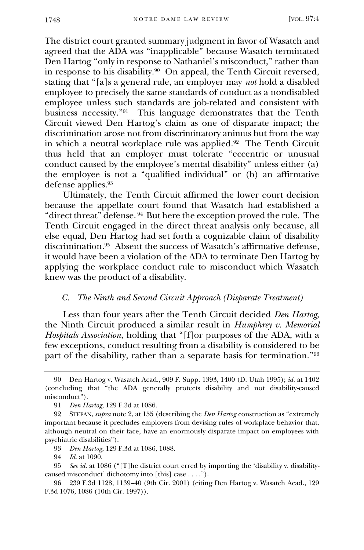The district court granted summary judgment in favor of Wasatch and agreed that the ADA was "inapplicable" because Wasatch terminated Den Hartog "only in response to Nathaniel's misconduct," rather than in response to his disability.<sup>90</sup> On appeal, the Tenth Circuit reversed, stating that "[a]s a general rule, an employer may *not* hold a disabled employee to precisely the same standards of conduct as a nondisabled employee unless such standards are job-related and consistent with business necessity."<sup>91</sup> This language demonstrates that the Tenth Circuit viewed Den Hartog's claim as one of disparate impact; the discrimination arose not from discriminatory animus but from the way in which a neutral workplace rule was applied.<sup>92</sup> The Tenth Circuit thus held that an employer must tolerate "eccentric or unusual conduct caused by the employee's mental disability" unless either (a) the employee is not a "qualified individual" or (b) an affirmative defense applies.<sup>93</sup>

Ultimately, the Tenth Circuit affirmed the lower court decision because the appellate court found that Wasatch had established a "direct threat" defense. <sup>94</sup> But here the exception proved the rule. The Tenth Circuit engaged in the direct threat analysis only because, all else equal, Den Hartog had set forth a cognizable claim of disability discrimination.<sup>95</sup> Absent the success of Wasatch's affirmative defense, it would have been a violation of the ADA to terminate Den Hartog by applying the workplace conduct rule to misconduct which Wasatch knew was the product of a disability.

#### *C. The Ninth and Second Circuit Approach (Disparate Treatment)*

Less than four years after the Tenth Circuit decided *Den Hartog*, the Ninth Circuit produced a similar result in *Humphrey v. Memorial Hospitals Association*, holding that "[f]or purposes of the ADA, with a few exceptions, conduct resulting from a disability is considered to be part of the disability, rather than a separate basis for termination."<sup>96</sup>

<sup>90</sup> Den Hartog v. Wasatch Acad., 909 F. Supp. 1393, 1400 (D. Utah 1995); *id.* at 1402 (concluding that "the ADA generally protects disability and not disability-caused misconduct").

<sup>91</sup> *Den Hartog*, 129 F.3d at 1086.

<sup>92</sup> STEFAN, *supra* note 2, at 155 (describing the *Den Hartog* construction as "extremely important because it precludes employers from devising rules of workplace behavior that, although neutral on their face, have an enormously disparate impact on employees with psychiatric disabilities").

<sup>93</sup> *Den Hartog*, 129 F.3d at 1086, 1088.

<sup>94</sup> *Id.* at 1090.

<sup>95</sup> *See id.* at 1086 ("[T]he district court erred by importing the 'disability v. disabilitycaused misconduct' dichotomy into [this] case . . . .").

<sup>96</sup> 239 F.3d 1128, 1139–40 (9th Cir. 2001) (citing Den Hartog v. Wasatch Acad., 129 F.3d 1076, 1086 (10th Cir. 1997)).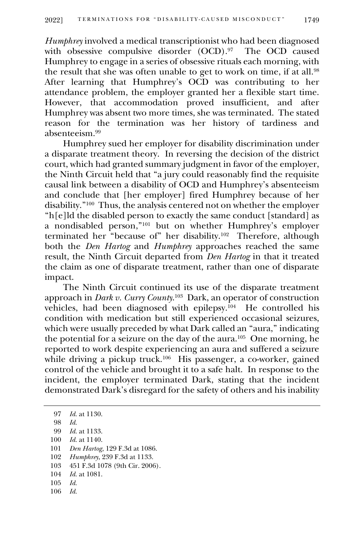*Humphrey* involved a medical transcriptionist who had been diagnosed with obsessive compulsive disorder (OCD).<sup>97</sup> The OCD caused Humphrey to engage in a series of obsessive rituals each morning, with the result that she was often unable to get to work on time, if at all.<sup>98</sup> After learning that Humphrey's OCD was contributing to her attendance problem, the employer granted her a flexible start time. However, that accommodation proved insufficient, and after Humphrey was absent two more times, she was terminated. The stated reason for the termination was her history of tardiness and absenteeism.<sup>99</sup>

Humphrey sued her employer for disability discrimination under a disparate treatment theory. In reversing the decision of the district court, which had granted summary judgment in favor of the employer, the Ninth Circuit held that "a jury could reasonably find the requisite causal link between a disability of OCD and Humphrey's absenteeism and conclude that [her employer] fired Humphrey because of her disability."<sup>100</sup> Thus, the analysis centered not on whether the employer "h[e]ld the disabled person to exactly the same conduct [standard] as a nondisabled person,"<sup>101</sup> but on whether Humphrey's employer terminated her "because of" her disability.<sup>102</sup> Therefore, although both the *Den Hartog* and *Humphrey* approaches reached the same result, the Ninth Circuit departed from *Den Hartog* in that it treated the claim as one of disparate treatment, rather than one of disparate impact.

The Ninth Circuit continued its use of the disparate treatment approach in *Dark v. Curry County*. 103 Dark, an operator of construction vehicles, had been diagnosed with epilepsy.<sup>104</sup> He controlled his condition with medication but still experienced occasional seizures, which were usually preceded by what Dark called an "aura," indicating the potential for a seizure on the day of the aura.<sup>105</sup> One morning, he reported to work despite experiencing an aura and suffered a seizure while driving a pickup truck.<sup>106</sup> His passenger, a co-worker, gained control of the vehicle and brought it to a safe halt. In response to the incident, the employer terminated Dark, stating that the incident demonstrated Dark's disregard for the safety of others and his inability

97 *Id.* at 1130.

98 *Id.*

- 100 *Id.* at 1140.
- 101 *Den Hartog*, 129 F.3d at 1086.
- 102 *Humphrey*, 239 F.3d at 1133.
- 103 451 F.3d 1078 (9th Cir. 2006).
- 104 *Id.* at 1081.
- 105 *Id.*
- 106 *Id.*

<sup>99</sup> *Id.* at 1133.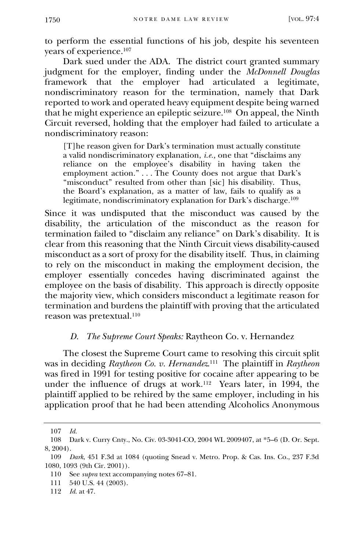to perform the essential functions of his job, despite his seventeen years of experience.<sup>107</sup>

Dark sued under the ADA. The district court granted summary judgment for the employer, finding under the *McDonnell Douglas*  framework that the employer had articulated a legitimate, nondiscriminatory reason for the termination, namely that Dark reported to work and operated heavy equipment despite being warned that he might experience an epileptic seizure.<sup>108</sup> On appeal, the Ninth Circuit reversed, holding that the employer had failed to articulate a nondiscriminatory reason:

[T]he reason given for Dark's termination must actually constitute a valid nondiscriminatory explanation, *i.e.,* one that "disclaims any reliance on the employee's disability in having taken the employment action." . . . The County does not argue that Dark's "misconduct" resulted from other than [sic] his disability. Thus, the Board's explanation, as a matter of law, fails to qualify as a legitimate, nondiscriminatory explanation for Dark's discharge. 109

Since it was undisputed that the misconduct was caused by the disability, the articulation of the misconduct as the reason for termination failed to "disclaim any reliance" on Dark's disability. It is clear from this reasoning that the Ninth Circuit views disability-caused misconduct as a sort of proxy for the disability itself. Thus, in claiming to rely on the misconduct in making the employment decision, the employer essentially concedes having discriminated against the employee on the basis of disability. This approach is directly opposite the majority view, which considers misconduct a legitimate reason for termination and burdens the plaintiff with proving that the articulated reason was pretextual.<sup>110</sup>

#### *D. The Supreme Court Speaks:* Raytheon Co. v. Hernandez

The closest the Supreme Court came to resolving this circuit split was in deciding *Raytheon Co. v. Hernandez*. 111 The plaintiff in *Raytheon*  was fired in 1991 for testing positive for cocaine after appearing to be under the influence of drugs at work.<sup>112</sup> Years later, in 1994, the plaintiff applied to be rehired by the same employer, including in his application proof that he had been attending Alcoholics Anonymous

112 *Id.* at 47.

<sup>107</sup> *Id.*

<sup>108</sup> Dark v. Curry Cnty., No. Civ. 03-3041-CO, 2004 WL 2009407, at \*5–6 (D. Or. Sept. 8, 2004).

<sup>109</sup> *Dark*, 451 F.3d at 1084 (quoting Snead v. Metro. Prop. & Cas. Ins. Co., 237 F.3d 1080, 1093 (9th Cir. 2001)).

<sup>110</sup> See *supra* text accompanying notes 67–81.

<sup>111</sup> 540 U.S. 44 (2003).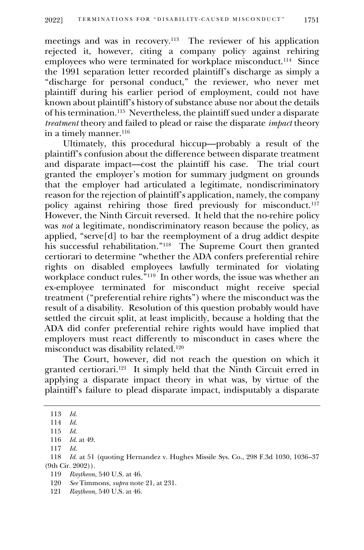meetings and was in recovery.<sup>113</sup> The reviewer of his application rejected it, however, citing a company policy against rehiring employees who were terminated for workplace misconduct.<sup>114</sup> Since the 1991 separation letter recorded plaintiff's discharge as simply a "discharge for personal conduct," the reviewer, who never met plaintiff during his earlier period of employment, could not have known about plaintiff's history of substance abuse nor about the details of his termination.<sup>115</sup> Nevertheless, the plaintiff sued under a disparate *treatment* theory and failed to plead or raise the disparate *impact* theory in a timely manner.<sup>116</sup>

Ultimately, this procedural hiccup—probably a result of the plaintiff's confusion about the difference between disparate treatment and disparate impact—cost the plaintiff his case. The trial court granted the employer's motion for summary judgment on grounds that the employer had articulated a legitimate, nondiscriminatory reason for the rejection of plaintiff's application, namely, the company policy against rehiring those fired previously for misconduct.<sup>117</sup> However, the Ninth Circuit reversed. It held that the no-rehire policy was *not* a legitimate, nondiscriminatory reason because the policy, as applied, "serve[d] to bar the reemployment of a drug addict despite his successful rehabilitation."<sup>118</sup> The Supreme Court then granted certiorari to determine "whether the ADA confers preferential rehire rights on disabled employees lawfully terminated for violating workplace conduct rules."<sup>119</sup> In other words, the issue was whether an ex-employee terminated for misconduct might receive special treatment ("preferential rehire rights") where the misconduct was the result of a disability. Resolution of this question probably would have settled the circuit split, at least implicitly, because a holding that the ADA did confer preferential rehire rights would have implied that employers must react differently to misconduct in cases where the misconduct was disability related.<sup>120</sup>

The Court, however, did not reach the question on which it granted certiorari.<sup>121</sup> It simply held that the Ninth Circuit erred in applying a disparate impact theory in what was, by virtue of the plaintiff's failure to plead disparate impact, indisputably a disparate

<sup>113</sup> *Id.* 

<sup>114</sup> *Id.*

<sup>115</sup> *Id.*

<sup>116</sup> *Id.* at 49.

<sup>117</sup> *Id.*

<sup>118</sup> *Id.* at 51 (quoting Hernandez v. Hughes Missile Sys. Co., 298 F.3d 1030, 1036–37 (9th Cir. 2002)).

<sup>119</sup> *Raytheon*, 540 U.S. at 46.

<sup>120</sup> *See* Timmons, *supra* note 21, at 231.

<sup>121</sup> *Raytheon*, 540 U.S. at 46.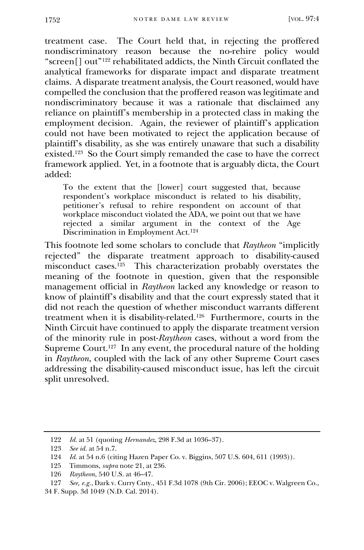treatment case. The Court held that, in rejecting the proffered nondiscriminatory reason because the no-rehire policy would "screen[] out"<sup>122</sup> rehabilitated addicts, the Ninth Circuit conflated the analytical frameworks for disparate impact and disparate treatment claims. A disparate treatment analysis, the Court reasoned, would have compelled the conclusion that the proffered reason was legitimate and nondiscriminatory because it was a rationale that disclaimed any reliance on plaintiff's membership in a protected class in making the employment decision. Again, the reviewer of plaintiff's application could not have been motivated to reject the application because of plaintiff's disability, as she was entirely unaware that such a disability existed.<sup>123</sup> So the Court simply remanded the case to have the correct framework applied. Yet, in a footnote that is arguably dicta, the Court added:

To the extent that the [lower] court suggested that, because respondent's workplace misconduct is related to his disability, petitioner's refusal to rehire respondent on account of that workplace misconduct violated the ADA, we point out that we have rejected a similar argument in the context of the Age Discrimination in Employment Act. 124

This footnote led some scholars to conclude that *Raytheon* "implicitly rejected" the disparate treatment approach to disability-caused misconduct cases.<sup>125</sup> This characterization probably overstates the meaning of the footnote in question, given that the responsible management official in *Raytheon* lacked any knowledge or reason to know of plaintiff's disability and that the court expressly stated that it did not reach the question of whether misconduct warrants different treatment when it is disability-related.<sup>126</sup> Furthermore, courts in the Ninth Circuit have continued to apply the disparate treatment version of the minority rule in post-*Raytheon* cases, without a word from the Supreme Court.<sup>127</sup> In any event, the procedural nature of the holding in *Raytheon*, coupled with the lack of any other Supreme Court cases addressing the disability-caused misconduct issue, has left the circuit split unresolved.

<sup>122</sup> *Id.* at 51 (quoting *Hernandez*, 298 F.3d at 1036–37).

<sup>123</sup> *See id.* at 54 n.7.

<sup>124</sup> *Id.* at 54 n.6 (citing Hazen Paper Co. v. Biggins, 507 U.S. 604, 611 (1993)).

<sup>125</sup> Timmons, *supra* note 21, at 236.

<sup>126</sup> *Raytheon*, 540 U.S. at 46–47.

<sup>127</sup> *See, e.g.*, Dark v. Curry Cnty., 451 F.3d 1078 (9th Cir. 2006); EEOC v. Walgreen Co., 34 F. Supp. 3d 1049 (N.D. Cal. 2014).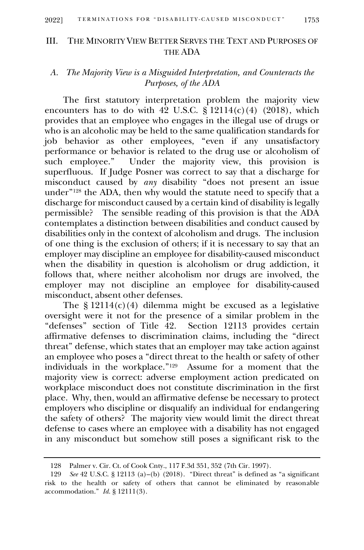## III. THE MINORITY VIEW BETTER SERVES THE TEXT AND PURPOSES OF THE ADA

# *A. The Majority View is a Misguided Interpretation, and Counteracts the Purposes, of the ADA*

The first statutory interpretation problem the majority view encounters has to do with  $42 \text{ U.S.C. } \hat{\text{S}} 12114(c)(4)$  (2018), which provides that an employee who engages in the illegal use of drugs or who is an alcoholic may be held to the same qualification standards for job behavior as other employees, "even if any unsatisfactory performance or behavior is related to the drug use or alcoholism of such employee." Under the majority view, this provision is superfluous. If Judge Posner was correct to say that a discharge for misconduct caused by *any* disability "does not present an issue under"<sup>128</sup> the ADA, then why would the statute need to specify that a discharge for misconduct caused by a certain kind of disability is legally permissible? The sensible reading of this provision is that the ADA contemplates a distinction between disabilities and conduct caused by disabilities only in the context of alcoholism and drugs. The inclusion of one thing is the exclusion of others; if it is necessary to say that an employer may discipline an employee for disability-caused misconduct when the disability in question is alcoholism or drug addiction, it follows that, where neither alcoholism nor drugs are involved, the employer may not discipline an employee for disability-caused misconduct, absent other defenses.

The  $\S 12114(c)(4)$  dilemma might be excused as a legislative oversight were it not for the presence of a similar problem in the "defenses" section of Title 42. Section 12113 provides certain "defenses" section of Title 42. affirmative defenses to discrimination claims, including the "direct threat" defense, which states that an employer may take action against an employee who poses a "direct threat to the health or safety of other individuals in the workplace." 129 Assume for a moment that the majority view is correct: adverse employment action predicated on workplace misconduct does not constitute discrimination in the first place. Why, then, would an affirmative defense be necessary to protect employers who discipline or disqualify an individual for endangering the safety of others? The majority view would limit the direct threat defense to cases where an employee with a disability has not engaged in any misconduct but somehow still poses a significant risk to the

<sup>128</sup> Palmer v. Cir. Ct. of Cook Cnty., 117 F.3d 351, 352 (7th Cir. 1997).

<sup>129</sup> *See* 42 U.S.C. § 12113 (a)–(b) (2018). "Direct threat" is defined as "a significant risk to the health or safety of others that cannot be eliminated by reasonable accommodation." *Id.* § 12111(3).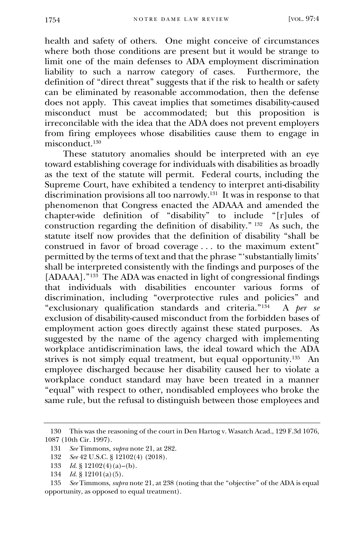health and safety of others. One might conceive of circumstances where both those conditions are present but it would be strange to limit one of the main defenses to ADA employment discrimination liability to such a narrow category of cases. Furthermore, the definition of "direct threat" suggests that if the risk to health or safety can be eliminated by reasonable accommodation, then the defense does not apply. This caveat implies that sometimes disability-caused misconduct must be accommodated; but this proposition is irreconcilable with the idea that the ADA does not prevent employers from firing employees whose disabilities cause them to engage in misconduct.<sup>130</sup>

These statutory anomalies should be interpreted with an eye toward establishing coverage for individuals with disabilities as broadly as the text of the statute will permit. Federal courts, including the Supreme Court, have exhibited a tendency to interpret anti-disability discrimination provisions all too narrowly.<sup>131</sup> It was in response to that phenomenon that Congress enacted the ADAAA and amended the chapter-wide definition of "disability" to include "[r]ules of construction regarding the definition of disability." <sup>132</sup> As such, the statute itself now provides that the definition of disability "shall be construed in favor of broad coverage . . . to the maximum extent" permitted by the terms of text and that the phrase "'substantially limits' shall be interpreted consistently with the findings and purposes of the [ADAAA]."<sup>133</sup> The ADA was enacted in light of congressional findings that individuals with disabilities encounter various forms of discrimination, including "overprotective rules and policies" and "exclusionary qualification standards and criteria."<sup>134</sup> A *per se* exclusion of disability-caused misconduct from the forbidden bases of employment action goes directly against these stated purposes. As suggested by the name of the agency charged with implementing workplace antidiscrimination laws, the ideal toward which the ADA strives is not simply equal treatment, but equal opportunity.<sup>135</sup> An employee discharged because her disability caused her to violate a workplace conduct standard may have been treated in a manner "equal" with respect to other, nondisabled employees who broke the same rule, but the refusal to distinguish between those employees and

<sup>130</sup> This was the reasoning of the court in Den Hartog v. Wasatch Acad., 129 F.3d 1076, 1087 (10th Cir. 1997).

<sup>131</sup> *See* Timmons, *supra* note 21, at 282.

<sup>132</sup> *See* 42 U.S.C. § 12102(4) (2018).

<sup>133</sup> *Id.* § 12102(4)(a)–(b).

<sup>134</sup> *Id.* § 12101(a)(5).

<sup>135</sup> *See* Timmons, *supra* note 21, at 238 (noting that the "objective" of the ADA is equal opportunity, as opposed to equal treatment).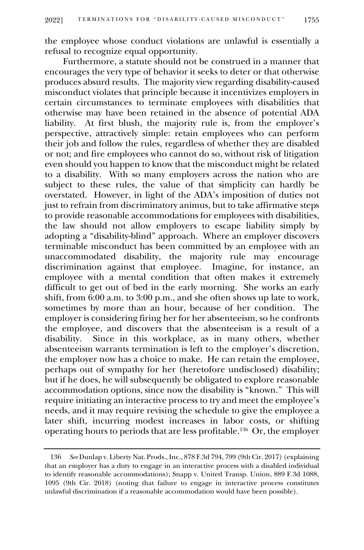the employee whose conduct violations are unlawful is essentially a refusal to recognize equal opportunity.

Furthermore, a statute should not be construed in a manner that encourages the very type of behavior it seeks to deter or that otherwise produces absurd results. The majority view regarding disability-caused misconduct violates that principle because it incentivizes employers in certain circumstances to terminate employees with disabilities that otherwise may have been retained in the absence of potential ADA liability. At first blush, the majority rule is, from the employer's perspective, attractively simple: retain employees who can perform their job and follow the rules, regardless of whether they are disabled or not; and fire employees who cannot do so, without risk of litigation even should you happen to know that the misconduct might be related to a disability. With so many employers across the nation who are subject to these rules, the value of that simplicity can hardly be overstated. However, in light of the ADA's imposition of duties not just to refrain from discriminatory animus, but to take affirmative steps to provide reasonable accommodations for employees with disabilities, the law should not allow employers to escape liability simply by adopting a "disability-blind" approach. Where an employer discovers terminable misconduct has been committed by an employee with an unaccommodated disability, the majority rule may encourage discrimination against that employee. Imagine, for instance, an employee with a mental condition that often makes it extremely difficult to get out of bed in the early morning. She works an early shift, from 6:00 a.m. to 3:00 p.m., and she often shows up late to work, sometimes by more than an hour, because of her condition. The employer is considering firing her for her absenteeism, so he confronts the employee, and discovers that the absenteeism is a result of a disability. Since in this workplace, as in many others, whether Since in this workplace, as in many others, whether absenteeism warrants termination is left to the employer's discretion, the employer now has a choice to make. He can retain the employee, perhaps out of sympathy for her (heretofore undisclosed) disability; but if he does, he will subsequently be obligated to explore reasonable accommodation options, since now the disability is "known." This will require initiating an interactive process to try and meet the employee's needs, and it may require revising the schedule to give the employee a later shift, incurring modest increases in labor costs, or shifting operating hours to periods that are less profitable.<sup>136</sup> Or, the employer

<sup>136</sup> *See* Dunlap v. Liberty Nat. Prods., Inc., 878 F.3d 794, 799 (9th Cir. 2017) (explaining that an employer has a duty to engage in an interactive process with a disabled individual to identify reasonable accommodations); Snapp v. United Transp. Union, 889 F.3d 1088, 1095 (9th Cir. 2018) (noting that failure to engage in interactive process constitutes unlawful discrimination if a reasonable accommodation would have been possible).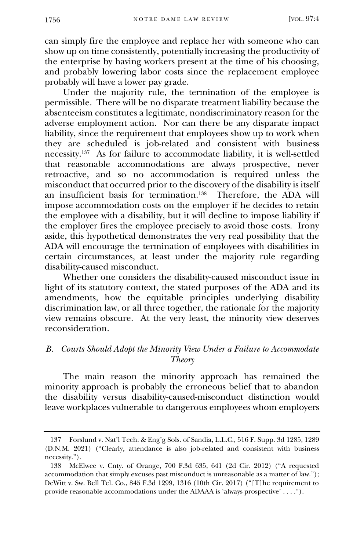can simply fire the employee and replace her with someone who can show up on time consistently, potentially increasing the productivity of the enterprise by having workers present at the time of his choosing, and probably lowering labor costs since the replacement employee probably will have a lower pay grade.

Under the majority rule, the termination of the employee is permissible. There will be no disparate treatment liability because the absenteeism constitutes a legitimate, nondiscriminatory reason for the adverse employment action. Nor can there be any disparate impact liability, since the requirement that employees show up to work when they are scheduled is job-related and consistent with business necessity.<sup>137</sup> As for failure to accommodate liability, it is well-settled that reasonable accommodations are always prospective, never retroactive, and so no accommodation is required unless the misconduct that occurred prior to the discovery of the disability is itself an insufficient basis for termination.<sup>138</sup> Therefore, the ADA will impose accommodation costs on the employer if he decides to retain the employee with a disability, but it will decline to impose liability if the employer fires the employee precisely to avoid those costs. Irony aside, this hypothetical demonstrates the very real possibility that the ADA will encourage the termination of employees with disabilities in certain circumstances, at least under the majority rule regarding disability-caused misconduct.

Whether one considers the disability-caused misconduct issue in light of its statutory context, the stated purposes of the ADA and its amendments, how the equitable principles underlying disability discrimination law, or all three together, the rationale for the majority view remains obscure. At the very least, the minority view deserves reconsideration.

# *B. Courts Should Adopt the Minority View Under a Failure to Accommodate Theory*

The main reason the minority approach has remained the minority approach is probably the erroneous belief that to abandon the disability versus disability-caused-misconduct distinction would leave workplaces vulnerable to dangerous employees whom employers

<sup>137</sup> Forslund v. Nat'l Tech. & Eng'g Sols. of Sandia, L.L.C., 516 F. Supp. 3d 1285, 1289 (D.N.M. 2021) ("Clearly, attendance is also job-related and consistent with business necessity.").

<sup>138</sup> McElwee v. Cnty. of Orange, 700 F.3d 635, 641 (2d Cir. 2012) ("A requested accommodation that simply excuses past misconduct is unreasonable as a matter of law."); DeWitt v. Sw. Bell Tel. Co., 845 F.3d 1299, 1316 (10th Cir. 2017) ("[T]he requirement to provide reasonable accommodations under the ADAAA is 'always prospective' . . . .").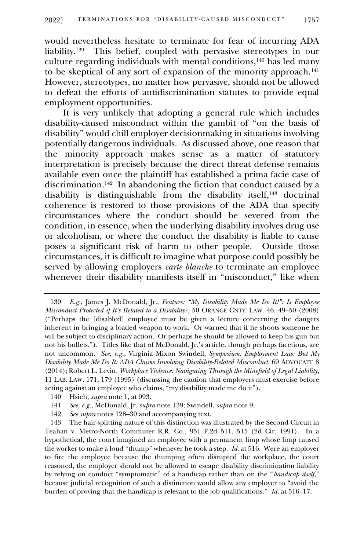would nevertheless hesitate to terminate for fear of incurring ADA liability.<sup>139</sup> This belief, coupled with pervasive stereotypes in our culture regarding individuals with mental conditions, $140$  has led many to be skeptical of any sort of expansion of the minority approach.<sup>141</sup> However, stereotypes, no matter how pervasive, should not be allowed to defeat the efforts of antidiscrimination statutes to provide equal employment opportunities.

It is very unlikely that adopting a general rule which includes disability-caused misconduct within the gambit of "on the basis of disability" would chill employer decisionmaking in situations involving potentially dangerous individuals. As discussed above, one reason that the minority approach makes sense as a matter of statutory interpretation is precisely because the direct threat defense remains available even once the plaintiff has established a prima facie case of discrimination.<sup>142</sup> In abandoning the fiction that conduct caused by a disability is distinguishable from the disability itself,<sup>143</sup> doctrinal coherence is restored to those provisions of the ADA that specify circumstances where the conduct should be severed from the condition, in essence, when the underlying disability involves drug use or alcoholism, or where the conduct the disability is liable to cause poses a significant risk of harm to other people. Outside those circumstances, it is difficult to imagine what purpose could possibly be served by allowing employers *carte blanche* to terminate an employee whenever their disability manifests itself in "misconduct," like when

<sup>139</sup> *E.g.*, James J. McDonald, Jr., *Feature: "My Disability Made Me Do It!": Is Employee Misconduct Protected if It's Related to a Disability*?, 50 ORANGE CNTY. LAW. 46, 49–50 (2008) ("Perhaps the [disabled] employee must be given a lecture concerning the dangers inherent in bringing a loaded weapon to work. Or warned that if he shoots someone he will be subject to disciplinary action. Or perhaps he should be allowed to keep his gun but not his bullets."). Titles like that of McDonald, Jr.'s article, though perhaps facetious, are not uncommon. *See, e.g.*, Virginia Mixon Swindell, *Symposium: Employment Law: But My Disability Made Me Do It: ADA Claims Involving Disability-Related Misconduct*, 69 ADVOCATE 8 (2014); Robert L. Levin, *Workplace Violence: Navigating Through the Minefield of Legal Liability*, 11 LAB. LAW. 171, 179 (1995) (discussing the caution that employers must exercise before acting against an employee who claims, "my disability made me do it").

<sup>140</sup> Hsieh, *supra* note 1, at 993.

<sup>141</sup> *See, e.g.*, McDonald, Jr. *supra* note 139; Swindell, *supra* note 9.

<sup>142</sup> *See supra* notes 128–30 and accompanying text.

<sup>143</sup> The hair-splitting nature of this distinction was illustrated by the Second Circuit in Teahan v. Metro-North Commuter R.R. Co*.*, 951 F.2d 511, 515 (2d Cir. 1991). In a hypothetical, the court imagined an employee with a permanent limp whose limp caused the worker to make a loud "thump" whenever he took a step. *Id.* at 516. Were an employer to fire the employee because the thumping often disrupted the workplace, the court reasoned, the employer should not be allowed to escape disability discrimination liability by relying on conduct "symptomatic" of a handicap rather than on the "*handicap itself*," because judicial recognition of such a distinction would allow any employer to "avoid the burden of proving that the handicap is relevant to the job qualifications." *Id.* at 516–17.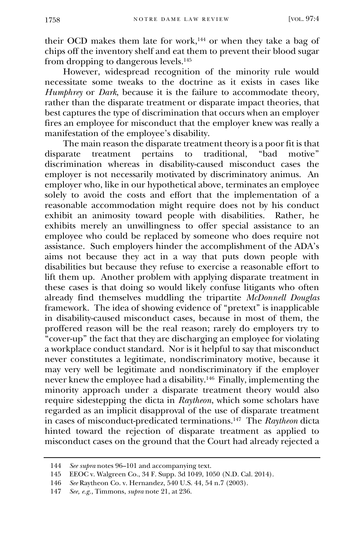their OCD makes them late for work, $144$  or when they take a bag of chips off the inventory shelf and eat them to prevent their blood sugar from dropping to dangerous levels.<sup>145</sup>

However, widespread recognition of the minority rule would necessitate some tweaks to the doctrine as it exists in cases like *Humphrey* or *Dark*, because it is the failure to accommodate theory, rather than the disparate treatment or disparate impact theories, that best captures the type of discrimination that occurs when an employer fires an employee for misconduct that the employer knew was really a manifestation of the employee's disability.

The main reason the disparate treatment theory is a poor fit is that disparate treatment pertains to traditional, "bad motive" discrimination whereas in disability-caused misconduct cases the employer is not necessarily motivated by discriminatory animus. An employer who, like in our hypothetical above, terminates an employee solely to avoid the costs and effort that the implementation of a reasonable accommodation might require does not by his conduct exhibit an animosity toward people with disabilities. Rather, he exhibits merely an unwillingness to offer special assistance to an employee who could be replaced by someone who does require not assistance. Such employers hinder the accomplishment of the ADA's aims not because they act in a way that puts down people with disabilities but because they refuse to exercise a reasonable effort to lift them up. Another problem with applying disparate treatment in these cases is that doing so would likely confuse litigants who often already find themselves muddling the tripartite *McDonnell Douglas* framework. The idea of showing evidence of "pretext" is inapplicable in disability-caused misconduct cases, because in most of them, the proffered reason will be the real reason; rarely do employers try to "cover-up" the fact that they are discharging an employee for violating a workplace conduct standard. Nor is it helpful to say that misconduct never constitutes a legitimate, nondiscriminatory motive, because it may very well be legitimate and nondiscriminatory if the employer never knew the employee had a disability.<sup>146</sup> Finally, implementing the minority approach under a disparate treatment theory would also require sidestepping the dicta in *Raytheon*, which some scholars have regarded as an implicit disapproval of the use of disparate treatment in cases of misconduct-predicated terminations.<sup>147</sup> The *Raytheon* dicta hinted toward the rejection of disparate treatment as applied to misconduct cases on the ground that the Court had already rejected a

<sup>144</sup> *See supra* notes 96–101 and accompanying text.

<sup>145</sup> EEOC v. Walgreen Co., 34 F. Supp. 3d 1049, 1050 (N.D. Cal. 2014).

<sup>146</sup> *See* Raytheon Co. v. Hernandez, 540 U.S. 44, 54 n.7 (2003).

<sup>147</sup> *See, e.g.*, Timmons, *supra* note 21, at 236.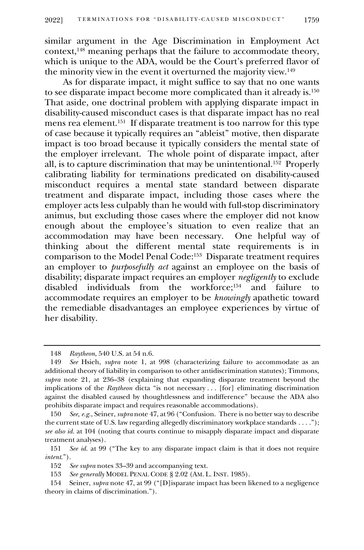similar argument in the Age Discrimination in Employment Act context,<sup>148</sup> meaning perhaps that the failure to accommodate theory, which is unique to the ADA, would be the Court's preferred flavor of the minority view in the event it overturned the majority view.<sup>149</sup>

As for disparate impact, it might suffice to say that no one wants to see disparate impact become more complicated than it already is.<sup>150</sup> That aside, one doctrinal problem with applying disparate impact in disability-caused misconduct cases is that disparate impact has no real mens rea element.<sup>151</sup> If disparate treatment is too narrow for this type of case because it typically requires an "ableist" motive, then disparate impact is too broad because it typically considers the mental state of the employer irrelevant. The whole point of disparate impact, after all, is to capture discrimination that may be unintentional.<sup>152</sup> Properly calibrating liability for terminations predicated on disability-caused misconduct requires a mental state standard between disparate treatment and disparate impact, including those cases where the employer acts less culpably than he would with full-stop discriminatory animus, but excluding those cases where the employer did not know enough about the employee's situation to even realize that an accommodation may have been necessary. One helpful way of thinking about the different mental state requirements is in comparison to the Model Penal Code:<sup>153</sup> Disparate treatment requires an employer to *purposefully act* against an employee on the basis of disability; disparate impact requires an employer *negligently* to exclude disabled individuals from the workforce;<sup>154</sup> and failure accommodate requires an employer to be *knowingly* apathetic toward the remediable disadvantages an employee experiences by virtue of her disability.

<sup>148</sup> *Raytheon*, 540 U.S. at 54 n.6.

<sup>149</sup> *See* Hsieh, *supra* note 1, at 998 (characterizing failure to accommodate as an additional theory of liability in comparison to other antidiscrimination statutes); Timmons, *supra* note 21, at 236–38 (explaining that expanding disparate treatment beyond the implications of the *Raytheon* dicta "is not necessary . . . [for] eliminating discrimination against the disabled caused by thoughtlessness and indifference" because the ADA also prohibits disparate impact and requires reasonable accommodations).

<sup>150</sup> *See, e.g.*, Seiner, *supra* note 47, at 96 ("Confusion. There is no better way to describe the current state of U.S. law regarding allegedly discriminatory workplace standards . . . ."); *see also id.* at 104 (noting that courts continue to misapply disparate impact and disparate treatment analyses).

<sup>151</sup> *See id.* at 99 ("The key to any disparate impact claim is that it does not require *intent*.").

<sup>152</sup> *See supra* notes 33–39 and accompanying text.

<sup>153</sup> *See generally* MODEL PENAL CODE § 2.02 (AM. L. INST. 1985).

<sup>154</sup> Seiner, *supra* note 47, at 99 ("[D]isparate impact has been likened to a negligence theory in claims of discrimination.").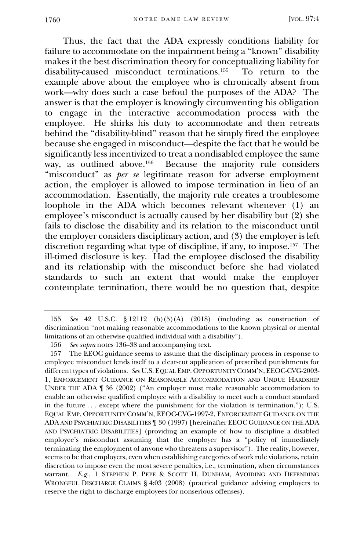Thus, the fact that the ADA expressly conditions liability for failure to accommodate on the impairment being a "known" disability makes it the best discrimination theory for conceptualizing liability for disability-caused misconduct terminations.<sup>155</sup> To return to the example above about the employee who is chronically absent from work—why does such a case befoul the purposes of the ADA? The answer is that the employer is knowingly circumventing his obligation to engage in the interactive accommodation process with the employee. He shirks his duty to accommodate and then retreats behind the "disability-blind" reason that he simply fired the employee because she engaged in misconduct—despite the fact that he would be significantly less incentivized to treat a nondisabled employee the same way, as outlined above.<sup>156</sup> Because the majority rule considers "misconduct" as *per se* legitimate reason for adverse employment action, the employer is allowed to impose termination in lieu of an accommodation. Essentially, the majority rule creates a troublesome loophole in the ADA which becomes relevant whenever (1) an employee's misconduct is actually caused by her disability but (2) she fails to disclose the disability and its relation to the misconduct until the employer considers disciplinary action, and (3) the employer is left discretion regarding what type of discipline, if any, to impose.<sup>157</sup> The ill-timed disclosure is key. Had the employee disclosed the disability and its relationship with the misconduct before she had violated standards to such an extent that would make the employer contemplate termination, there would be no question that, despite

<sup>155</sup> *See* 42 U.S.C. § 12112 (b)(5)(A) (2018) (including as construction of discrimination "not making reasonable accommodations to the known physical or mental limitations of an otherwise qualified individual with a disability").

<sup>156</sup> *See supra* notes 136–38 and accompanying text.

<sup>157</sup> The EEOC guidance seems to assume that the disciplinary process in response to employee misconduct lends itself to a clear-cut application of prescribed punishments for different types of violations. *See* U.S. EQUAL EMP. OPPORTUNITY COMM'N, EEOC-CVG-2003- 1, ENFORCEMENT GUIDANCE ON REASONABLE ACCOMMODATION AND UNDUE HARDSHIP UNDER THE ADA ¶ 36 (2002) ("An employer must make reasonable accommodation to enable an otherwise qualified employee with a disability to meet such a conduct standard in the future . . . except where the punishment for the violation is termination."); U.S. EQUAL EMP. OPPORTUNITY COMM'N, EEOC-CVG-1997-2, ENFORCEMENT GUIDANCE ON THE ADA AND PSYCHIATRIC DISABILITIES ¶ 30 (1997) [hereinafter EEOC GUIDANCE ON THE ADA AND PSYCHIATRIC DISABILITIES] (providing an example of how to discipline a disabled employee's misconduct assuming that the employer has a "policy of immediately terminating the employment of anyone who threatens a supervisor"). The reality, however, seems to be that employers, even when establishing categories of work rule violations, retain discretion to impose even the most severe penalties, i.e., termination, when circumstances warrant. *E.g.*, 1 STEPHEN P. PEPE & SCOTT H. DUNHAM, AVOIDING AND DEFENDING WRONGFUL DISCHARGE CLAIMS § 4:03 (2008) (practical guidance advising employers to reserve the right to discharge employees for nonserious offenses).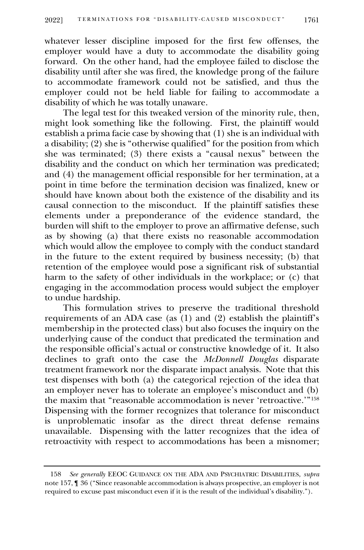whatever lesser discipline imposed for the first few offenses, the employer would have a duty to accommodate the disability going forward. On the other hand, had the employee failed to disclose the disability until after she was fired, the knowledge prong of the failure to accommodate framework could not be satisfied, and thus the employer could not be held liable for failing to accommodate a disability of which he was totally unaware.

The legal test for this tweaked version of the minority rule, then, might look something like the following. First, the plaintiff would establish a prima facie case by showing that (1) she is an individual with a disability; (2) she is "otherwise qualified" for the position from which she was terminated; (3) there exists a "causal nexus" between the disability and the conduct on which her termination was predicated; and (4) the management official responsible for her termination, at a point in time before the termination decision was finalized, knew or should have known about both the existence of the disability and its causal connection to the misconduct. If the plaintiff satisfies these elements under a preponderance of the evidence standard, the burden will shift to the employer to prove an affirmative defense, such as by showing (a) that there exists no reasonable accommodation which would allow the employee to comply with the conduct standard in the future to the extent required by business necessity; (b) that retention of the employee would pose a significant risk of substantial harm to the safety of other individuals in the workplace; or (c) that engaging in the accommodation process would subject the employer to undue hardship.

This formulation strives to preserve the traditional threshold requirements of an ADA case (as  $(1)$  and  $(2)$  establish the plaintiff's membership in the protected class) but also focuses the inquiry on the underlying cause of the conduct that predicated the termination and the responsible official's actual or constructive knowledge of it. It also declines to graft onto the case the *McDonnell Douglas* disparate treatment framework nor the disparate impact analysis. Note that this test dispenses with both (a) the categorical rejection of the idea that an employer never has to tolerate an employee's misconduct and (b) the maxim that "reasonable accommodation is never 'retroactive.'"<sup>158</sup> Dispensing with the former recognizes that tolerance for misconduct is unproblematic insofar as the direct threat defense remains unavailable. Dispensing with the latter recognizes that the idea of retroactivity with respect to accommodations has been a misnomer;

<sup>158</sup> *See generally* EEOC GUIDANCE ON THE ADA AND PSYCHIATRIC DISABILITIES, *supra*  note 157, ¶ 36 ("Since reasonable accommodation is always prospective, an employer is not required to excuse past misconduct even if it is the result of the individual's disability.").